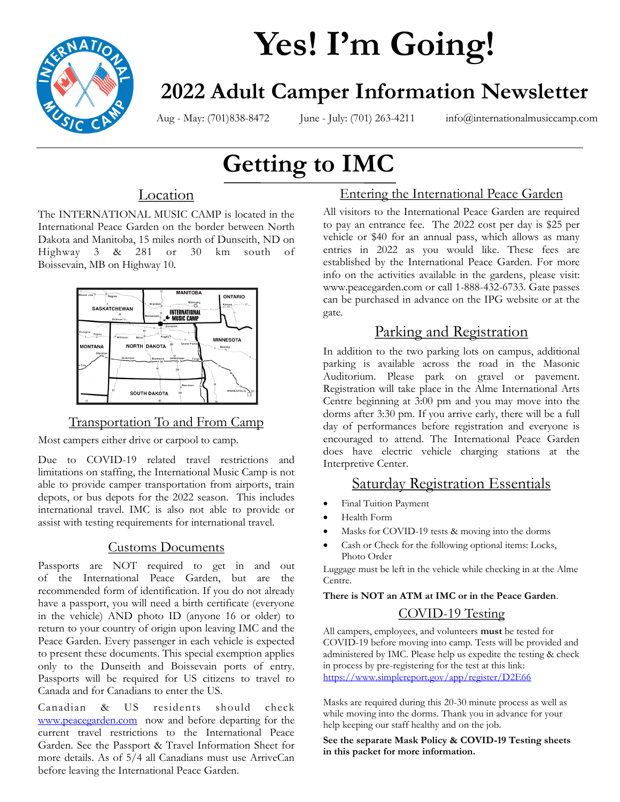

# **Yes! I'm Going!**

# **2022 Adult Camper Information Newsletter**

Aug - May: (701)838-8472 June - July: (701) 263-4211 info@internationalmusiccamp.com

# **Getting to IMC**

### Location

The INTERNATIONAL MUSIC CAMP is located in the International Peace Garden on the border between North Dakota and Manitoba, 15 miles north of Dunseith, ND on Highway 3 & 281 or 30 km south of Boissevain, MB on Highway 10.



### Transportation To and From Camp

Most campers either drive or carpool to camp.

Due to COVID-19 related travel restrictions and limitations on staffing, the International Music Camp is not able to provide camper transportation from airports, train depots, or bus depots for the 2022 season. This includes international travel. IMC is also not able to provide or assist with testing requirements for international travel.

### Customs Documents

Passports are NOT required to get in and out of the International Peace Garden, but are the recommended form of identification. If you do not already have a passport, you will need a birth certificate (everyone in the vehicle) AND photo ID (anyone 16 or older) to return to your country of origin upon leaving IMC and the Peace Garden. Every passenger in each vehicle is expected to present these documents. This special exemption applies only to the Dunseith and Boissevain ports of entry. Passports will be required for US citizens to travel to Canada and for Canadians to enter the US.

Canadian & US residents should check [www.peacegarden.com](https://peacegarden.com/) now and before departing for the current travel restrictions to the International Peace Garden. See the Passport & Travel Information Sheet for more details. As of 5/4 all Canadians must use ArriveCan before leaving the International Peace Garden.

### Entering the International Peace Garden

All visitors to the International Peace Garden are required to pay an entrance fee. The 2022 cost per day is \$25 per vehicle or \$40 for an annual pass, which allows as many entries in 2022 as you would like. These fees are established by the International Peace Garden. For more info on the activities available in the gardens, please visit: www.peacegarden.com or call 1-888-432-6733. Gate passes can be purchased in advance on the IPG website or at the gate.

# Parking and Registration

In addition to the two parking lots on campus, additional parking is available across the road in the Masonic Auditorium. Please park on gravel or pavement. Registration will take place in the Alme International Arts Centre beginning at 3:00 pm and you may move into the dorms after 3:30 pm. If you arrive early, there will be a full day of performances before registration and everyone is encouraged to attend. The International Peace Garden does have electric vehicle charging stations at the Interpretive Center.

### Saturday Registration Essentials

- Final Tuition Payment
- Health Form
- Masks for COVID-19 tests & moving into the dorms
- Cash or Check for the following optional items: Locks, Photo Order

Luggage must be left in the vehicle while checking in at the Alme Centre.

**There is NOT an ATM at IMC or in the Peace Garden**.

### COVID-19 Testing

All campers, employees, and volunteers **must** be tested for COVID-19 before moving into camp. Tests will be provided and administered by IMC. Please help us expedite the testing & check in process by pre-registering for the test at this link: <https://www.simplereport.gov/app/register/D2E66>

Masks are required during this 20-30 minute process as well as while moving into the dorms. Thank you in advance for your help keeping our staff healthy and on the job.

**See the separate Mask Policy & COVID-19 Testing sheets in this packet for more information.**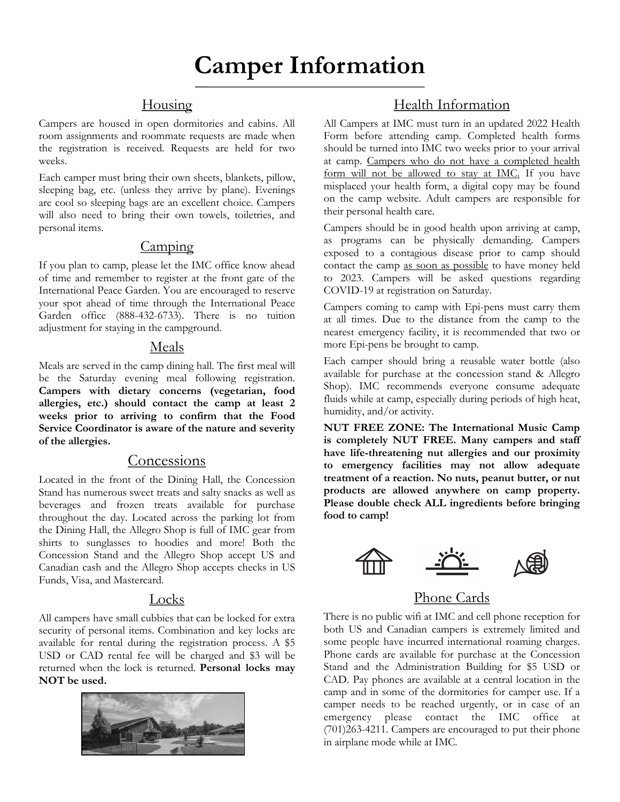### **Housing**

Campers are housed in open dormitories and cabins. All room assignments and roommate requests are made when the registration is received. Requests are held for two weeks.

Each camper must bring their own sheets, blankets, pillow, sleeping bag, etc. (unless they arrive by plane). Evenings are cool so sleeping bags are an excellent choice. Campers will also need to bring their own towels, toiletries, and personal items.

### Camping

If you plan to camp, please let the IMC office know ahead of time and remember to register at the front gate of the International Peace Garden. You are encouraged to reserve your spot ahead of time through the International Peace Garden office (888-432-6733). There is no tuition adjustment for staying in the campground.

### Meals

Meals are served in the camp dining hall. The first meal will be the Saturday evening meal following registration. **Campers with dietary concerns (vegetarian, food allergies, etc.) should contact the camp at least 2 weeks prior to arriving to confirm that the Food Service Coordinator is aware of the nature and severity of the allergies.** 

### **Concessions**

Located in the front of the Dining Hall, the Concession Stand has numerous sweet treats and salty snacks as well as beverages and frozen treats available for purchase throughout the day. Located across the parking lot from the Dining Hall, the Allegro Shop is full of IMC gear from shirts to sunglasses to hoodies and more! Both the Concession Stand and the Allegro Shop accept US and Canadian cash and the Allegro Shop accepts checks in US Funds, Visa, and Mastercard.

### Locks

All campers have small cubbies that can be locked for extra security of personal items. Combination and key locks are available for rental during the registration process. A \$5 USD or CAD rental fee will be charged and \$3 will be returned when the lock is returned. **Personal locks may NOT be used.**



### Health Information

All Campers at IMC must turn in an updated 2022 Health Form before attending camp. Completed health forms should be turned into IMC two weeks prior to your arrival at camp. Campers who do not have a completed health form will not be allowed to stay at IMC. If you have misplaced your health form, a digital copy may be found on the camp website. Adult campers are responsible for their personal health care.

Campers should be in good health upon arriving at camp, as programs can be physically demanding. Campers exposed to a contagious disease prior to camp should contact the camp as soon as possible to have money held to 2023. Campers will be asked questions regarding COVID-19 at registration on Saturday.

Campers coming to camp with Epi-pens must carry them at all times. Due to the distance from the camp to the nearest emergency facility, it is recommended that two or more Epi-pens be brought to camp.

Each camper should bring a reusable water bottle (also available for purchase at the concession stand & Allegro Shop). IMC recommends everyone consume adequate fluids while at camp, especially during periods of high heat, humidity, and/or activity.

**NUT FREE ZONE: The International Music Camp is completely NUT FREE. Many campers and staff have life-threatening nut allergies and our proximity to emergency facilities may not allow adequate treatment of a reaction. No nuts, peanut butter, or nut products are allowed anywhere on camp property. Please double check ALL ingredients before bringing food to camp!** 



# Phone Cards

There is no public wifi at IMC and cell phone reception for both US and Canadian campers is extremely limited and some people have incurred international roaming charges. Phone cards are available for purchase at the Concession Stand and the Administration Building for \$5 USD or CAD. Pay phones are available at a central location in the camp and in some of the dormitories for camper use. If a camper needs to be reached urgently, or in case of an emergency please contact the IMC office at (701)263-4211. Campers are encouraged to put their phone in airplane mode while at IMC.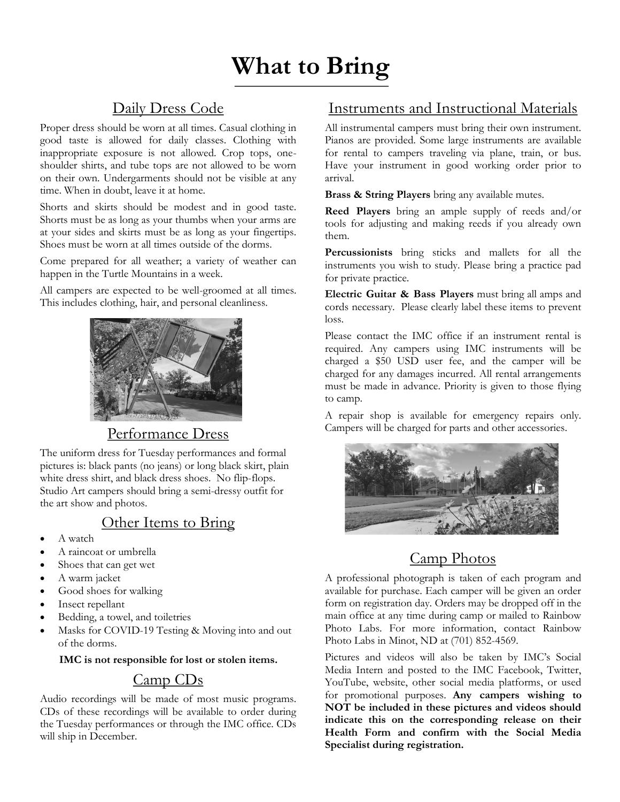# **What to Bring**

### Daily Dress Code

Proper dress should be worn at all times. Casual clothing in good taste is allowed for daily classes. Clothing with inappropriate exposure is not allowed. Crop tops, oneshoulder shirts, and tube tops are not allowed to be worn on their own. Undergarments should not be visible at any time. When in doubt, leave it at home.

Shorts and skirts should be modest and in good taste. Shorts must be as long as your thumbs when your arms are at your sides and skirts must be as long as your fingertips. Shoes must be worn at all times outside of the dorms.

Come prepared for all weather; a variety of weather can happen in the Turtle Mountains in a week.

All campers are expected to be well-groomed at all times. This includes clothing, hair, and personal cleanliness.



### Performance Dress

The uniform dress for Tuesday performances and formal pictures is: black pants (no jeans) or long black skirt, plain white dress shirt, and black dress shoes. No flip-flops. Studio Art campers should bring a semi-dressy outfit for the art show and photos.

### Other Items to Bring

- A watch
- A raincoat or umbrella
- Shoes that can get wet
- A warm jacket
- Good shoes for walking
- Insect repellant
- Bedding, a towel, and toiletries
- Masks for COVID-19 Testing & Moving into and out of the dorms.

#### **IMC is not responsible for lost or stolen items.**

### Camp CDs

Audio recordings will be made of most music programs. CDs of these recordings will be available to order during the Tuesday performances or through the IMC office. CDs will ship in December.

### Instruments and Instructional Materials

All instrumental campers must bring their own instrument. Pianos are provided. Some large instruments are available for rental to campers traveling via plane, train, or bus. Have your instrument in good working order prior to arrival.

**Brass & String Players** bring any available mutes.

**Reed Players** bring an ample supply of reeds and/or tools for adjusting and making reeds if you already own them.

**Percussionists** bring sticks and mallets for all the instruments you wish to study. Please bring a practice pad for private practice.

**Electric Guitar & Bass Players** must bring all amps and cords necessary. Please clearly label these items to prevent loss.

Please contact the IMC office if an instrument rental is required. Any campers using IMC instruments will be charged a \$50 USD user fee, and the camper will be charged for any damages incurred. All rental arrangements must be made in advance. Priority is given to those flying to camp.

A repair shop is available for emergency repairs only. Campers will be charged for parts and other accessories.



### Camp Photos

A professional photograph is taken of each program and available for purchase. Each camper will be given an order form on registration day. Orders may be dropped off in the main office at any time during camp or mailed to Rainbow Photo Labs. For more information, contact Rainbow Photo Labs in Minot, ND at (701) 852-4569.

Pictures and videos will also be taken by IMC's Social Media Intern and posted to the IMC Facebook, Twitter, YouTube, website, other social media platforms, or used for promotional purposes. **Any campers wishing to NOT be included in these pictures and videos should indicate this on the corresponding release on their Health Form and confirm with the Social Media Specialist during registration.**